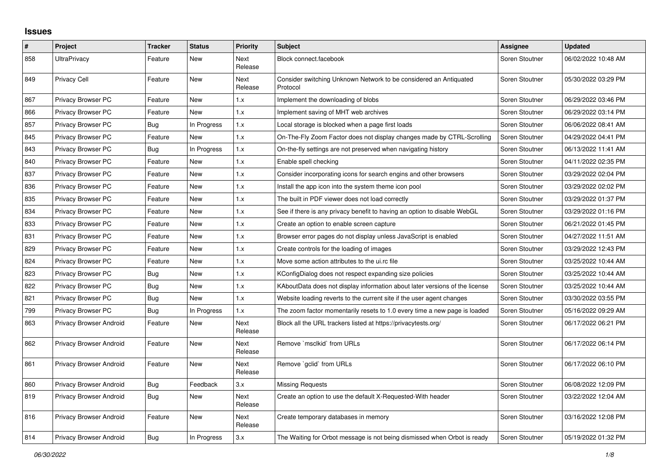## **Issues**

| $\pmb{\#}$ | Project                 | <b>Tracker</b> | <b>Status</b> | <b>Priority</b> | <b>Subject</b>                                                                | Assignee       | <b>Updated</b>      |
|------------|-------------------------|----------------|---------------|-----------------|-------------------------------------------------------------------------------|----------------|---------------------|
| 858        | <b>UltraPrivacy</b>     | Feature        | New           | Next<br>Release | Block connect.facebook                                                        | Soren Stoutner | 06/02/2022 10:48 AM |
| 849        | <b>Privacy Cell</b>     | Feature        | New           | Next<br>Release | Consider switching Unknown Network to be considered an Antiquated<br>Protocol | Soren Stoutner | 05/30/2022 03:29 PM |
| 867        | Privacy Browser PC      | Feature        | New           | 1.x             | Implement the downloading of blobs                                            | Soren Stoutner | 06/29/2022 03:46 PM |
| 866        | Privacy Browser PC      | Feature        | New           | 1.x             | Implement saving of MHT web archives                                          | Soren Stoutner | 06/29/2022 03:14 PM |
| 857        | Privacy Browser PC      | Bug            | In Progress   | 1.x             | Local storage is blocked when a page first loads                              | Soren Stoutner | 06/06/2022 08:41 AM |
| 845        | Privacy Browser PC      | Feature        | New           | 1.x             | On-The-Fly Zoom Factor does not display changes made by CTRL-Scrolling        | Soren Stoutner | 04/29/2022 04:41 PM |
| 843        | Privacy Browser PC      | Bug            | In Progress   | 1.x             | On-the-fly settings are not preserved when navigating history                 | Soren Stoutner | 06/13/2022 11:41 AM |
| 840        | Privacy Browser PC      | Feature        | New           | 1.x             | Enable spell checking                                                         | Soren Stoutner | 04/11/2022 02:35 PM |
| 837        | Privacy Browser PC      | Feature        | <b>New</b>    | 1.x             | Consider incorporating icons for search engins and other browsers             | Soren Stoutner | 03/29/2022 02:04 PM |
| 836        | Privacy Browser PC      | Feature        | New           | 1.x             | Install the app icon into the system theme icon pool                          | Soren Stoutner | 03/29/2022 02:02 PM |
| 835        | Privacy Browser PC      | Feature        | New           | 1.x             | The built in PDF viewer does not load correctly                               | Soren Stoutner | 03/29/2022 01:37 PM |
| 834        | Privacy Browser PC      | Feature        | New           | 1.x             | See if there is any privacy benefit to having an option to disable WebGL      | Soren Stoutner | 03/29/2022 01:16 PM |
| 833        | Privacy Browser PC      | Feature        | New           | 1.x             | Create an option to enable screen capture                                     | Soren Stoutner | 06/21/2022 01:45 PM |
| 831        | Privacy Browser PC      | Feature        | New           | 1.x             | Browser error pages do not display unless JavaScript is enabled               | Soren Stoutner | 04/27/2022 11:51 AM |
| 829        | Privacy Browser PC      | Feature        | New           | 1.x             | Create controls for the loading of images                                     | Soren Stoutner | 03/29/2022 12:43 PM |
| 824        | Privacy Browser PC      | Feature        | New           | 1.x             | Move some action attributes to the ui.rc file                                 | Soren Stoutner | 03/25/2022 10:44 AM |
| 823        | Privacy Browser PC      | Bug            | New           | 1.x             | KConfigDialog does not respect expanding size policies                        | Soren Stoutner | 03/25/2022 10:44 AM |
| 822        | Privacy Browser PC      | Bug            | <b>New</b>    | 1.x             | KAboutData does not display information about later versions of the license   | Soren Stoutner | 03/25/2022 10:44 AM |
| 821        | Privacy Browser PC      | <b>Bug</b>     | New           | 1.x             | Website loading reverts to the current site if the user agent changes         | Soren Stoutner | 03/30/2022 03:55 PM |
| 799        | Privacy Browser PC      | Bug            | In Progress   | 1.x             | The zoom factor momentarily resets to 1.0 every time a new page is loaded     | Soren Stoutner | 05/16/2022 09:29 AM |
| 863        | Privacy Browser Android | Feature        | <b>New</b>    | Next<br>Release | Block all the URL trackers listed at https://privacytests.org/                | Soren Stoutner | 06/17/2022 06:21 PM |
| 862        | Privacy Browser Android | Feature        | New           | Next<br>Release | Remove `msclkid` from URLs                                                    | Soren Stoutner | 06/17/2022 06:14 PM |
| 861        | Privacy Browser Android | Feature        | New           | Next<br>Release | Remove `gclid` from URLs                                                      | Soren Stoutner | 06/17/2022 06:10 PM |
| 860        | Privacy Browser Android | <b>Bug</b>     | Feedback      | 3.x             | <b>Missing Requests</b>                                                       | Soren Stoutner | 06/08/2022 12:09 PM |
| 819        | Privacy Browser Android | Bug            | New           | Next<br>Release | Create an option to use the default X-Requested-With header                   | Soren Stoutner | 03/22/2022 12:04 AM |
| 816        | Privacy Browser Android | Feature        | New           | Next<br>Release | Create temporary databases in memory                                          | Soren Stoutner | 03/16/2022 12:08 PM |
| 814        | Privacy Browser Android | Bug            | In Progress   | 3.x             | The Waiting for Orbot message is not being dismissed when Orbot is ready      | Soren Stoutner | 05/19/2022 01:32 PM |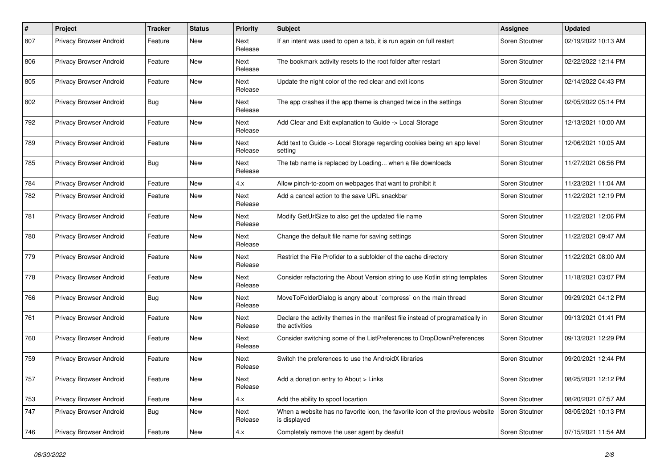| #   | Project                 | <b>Tracker</b> | <b>Status</b> | <b>Priority</b>        | Subject                                                                                                               | Assignee       | <b>Updated</b>      |
|-----|-------------------------|----------------|---------------|------------------------|-----------------------------------------------------------------------------------------------------------------------|----------------|---------------------|
| 807 | Privacy Browser Android | Feature        | New           | Next<br>Release        | If an intent was used to open a tab, it is run again on full restart                                                  | Soren Stoutner | 02/19/2022 10:13 AM |
| 806 | Privacy Browser Android | Feature        | New           | Next<br>Release        | The bookmark activity resets to the root folder after restart                                                         | Soren Stoutner | 02/22/2022 12:14 PM |
| 805 | Privacy Browser Android | Feature        | New           | <b>Next</b><br>Release | Update the night color of the red clear and exit icons                                                                | Soren Stoutner | 02/14/2022 04:43 PM |
| 802 | Privacy Browser Android | Bug            | New           | <b>Next</b><br>Release | The app crashes if the app theme is changed twice in the settings                                                     | Soren Stoutner | 02/05/2022 05:14 PM |
| 792 | Privacy Browser Android | Feature        | New           | Next<br>Release        | Add Clear and Exit explanation to Guide -> Local Storage                                                              | Soren Stoutner | 12/13/2021 10:00 AM |
| 789 | Privacy Browser Android | Feature        | New           | Next<br>Release        | Add text to Guide -> Local Storage regarding cookies being an app level<br>setting                                    | Soren Stoutner | 12/06/2021 10:05 AM |
| 785 | Privacy Browser Android | <b>Bug</b>     | New           | Next<br>Release        | The tab name is replaced by Loading when a file downloads                                                             | Soren Stoutner | 11/27/2021 06:56 PM |
| 784 | Privacy Browser Android | Feature        | New           | 4.x                    | Allow pinch-to-zoom on webpages that want to prohibit it                                                              | Soren Stoutner | 11/23/2021 11:04 AM |
| 782 | Privacy Browser Android | Feature        | New           | Next<br>Release        | Add a cancel action to the save URL snackbar                                                                          | Soren Stoutner | 11/22/2021 12:19 PM |
| 781 | Privacy Browser Android | Feature        | New           | <b>Next</b><br>Release | Modify GetUrlSize to also get the updated file name                                                                   | Soren Stoutner | 11/22/2021 12:06 PM |
| 780 | Privacy Browser Android | Feature        | New           | Next<br>Release        | Change the default file name for saving settings                                                                      | Soren Stoutner | 11/22/2021 09:47 AM |
| 779 | Privacy Browser Android | Feature        | New           | Next<br>Release        | Restrict the File Profider to a subfolder of the cache directory                                                      | Soren Stoutner | 11/22/2021 08:00 AM |
| 778 | Privacy Browser Android | Feature        | New           | <b>Next</b><br>Release | Consider refactoring the About Version string to use Kotlin string templates                                          | Soren Stoutner | 11/18/2021 03:07 PM |
| 766 | Privacy Browser Android | Bug            | New           | Next<br>Release        | MoveToFolderDialog is angry about `compress` on the main thread                                                       | Soren Stoutner | 09/29/2021 04:12 PM |
| 761 | Privacy Browser Android | Feature        | New           | Next<br>Release        | Declare the activity themes in the manifest file instead of programatically in<br>the activities                      | Soren Stoutner | 09/13/2021 01:41 PM |
| 760 | Privacy Browser Android | Feature        | New           | Next<br>Release        | Consider switching some of the ListPreferences to DropDownPreferences                                                 | Soren Stoutner | 09/13/2021 12:29 PM |
| 759 | Privacy Browser Android | Feature        | New           | <b>Next</b><br>Release | Switch the preferences to use the AndroidX libraries                                                                  | Soren Stoutner | 09/20/2021 12:44 PM |
| 757 | Privacy Browser Android | Feature        | New           | Next<br>Release        | Add a donation entry to About > Links                                                                                 | Soren Stoutner | 08/25/2021 12:12 PM |
| 753 | Privacy Browser Android | Feature        | New           | 4.x                    | Add the ability to spoof locartion                                                                                    | Soren Stoutner | 08/20/2021 07:57 AM |
| 747 | Privacy Browser Android | Bug            | New           | Next<br>Release        | When a website has no favorite icon, the favorite icon of the previous website $\vert$ Soren Stoutner<br>is displayed |                | 08/05/2021 10:13 PM |
| 746 | Privacy Browser Android | Feature        | New           | 4.x                    | Completely remove the user agent by deafult                                                                           | Soren Stoutner | 07/15/2021 11:54 AM |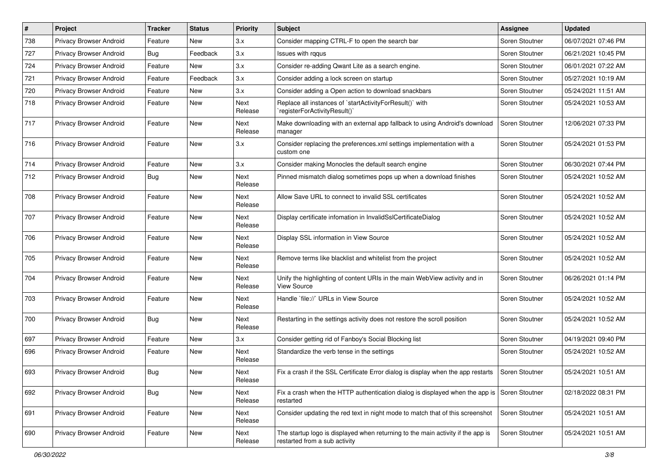| $\#$ | Project                        | <b>Tracker</b> | <b>Status</b> | <b>Priority</b>        | Subject                                                                                                          | Assignee       | <b>Updated</b>      |
|------|--------------------------------|----------------|---------------|------------------------|------------------------------------------------------------------------------------------------------------------|----------------|---------------------|
| 738  | Privacy Browser Android        | Feature        | New           | 3.x                    | Consider mapping CTRL-F to open the search bar                                                                   | Soren Stoutner | 06/07/2021 07:46 PM |
| 727  | Privacy Browser Android        | <b>Bug</b>     | Feedback      | 3.x                    | lssues with rggus                                                                                                | Soren Stoutner | 06/21/2021 10:45 PM |
| 724  | Privacy Browser Android        | Feature        | New           | 3.x                    | Consider re-adding Qwant Lite as a search engine.                                                                | Soren Stoutner | 06/01/2021 07:22 AM |
| 721  | Privacy Browser Android        | Feature        | Feedback      | 3.x                    | Consider adding a lock screen on startup                                                                         | Soren Stoutner | 05/27/2021 10:19 AM |
| 720  | Privacy Browser Android        | Feature        | New           | 3.x                    | Consider adding a Open action to download snackbars                                                              | Soren Stoutner | 05/24/2021 11:51 AM |
| 718  | Privacy Browser Android        | Feature        | New           | Next<br>Release        | Replace all instances of `startActivityForResult()` with<br>registerForActivityResult()`                         | Soren Stoutner | 05/24/2021 10:53 AM |
| 717  | Privacy Browser Android        | Feature        | <b>New</b>    | Next<br>Release        | Make downloading with an external app fallback to using Android's download<br>manager                            | Soren Stoutner | 12/06/2021 07:33 PM |
| 716  | Privacy Browser Android        | Feature        | New           | 3.x                    | Consider replacing the preferences.xml settings implementation with a<br>custom one                              | Soren Stoutner | 05/24/2021 01:53 PM |
| 714  | Privacy Browser Android        | Feature        | New           | 3.x                    | Consider making Monocles the default search engine                                                               | Soren Stoutner | 06/30/2021 07:44 PM |
| 712  | Privacy Browser Android        | Bug            | New           | <b>Next</b><br>Release | Pinned mismatch dialog sometimes pops up when a download finishes                                                | Soren Stoutner | 05/24/2021 10:52 AM |
| 708  | Privacy Browser Android        | Feature        | New           | Next<br>Release        | Allow Save URL to connect to invalid SSL certificates                                                            | Soren Stoutner | 05/24/2021 10:52 AM |
| 707  | Privacy Browser Android        | Feature        | New           | Next<br>Release        | Display certificate infomation in InvalidSslCertificateDialog                                                    | Soren Stoutner | 05/24/2021 10:52 AM |
| 706  | Privacy Browser Android        | Feature        | <b>New</b>    | Next<br>Release        | Display SSL information in View Source                                                                           | Soren Stoutner | 05/24/2021 10:52 AM |
| 705  | Privacy Browser Android        | Feature        | New           | <b>Next</b><br>Release | Remove terms like blacklist and whitelist from the project                                                       | Soren Stoutner | 05/24/2021 10:52 AM |
| 704  | Privacy Browser Android        | Feature        | New           | Next<br>Release        | Unify the highlighting of content URIs in the main WebView activity and in<br><b>View Source</b>                 | Soren Stoutner | 06/26/2021 01:14 PM |
| 703  | <b>Privacy Browser Android</b> | Feature        | New           | Next<br>Release        | Handle `file://` URLs in View Source                                                                             | Soren Stoutner | 05/24/2021 10:52 AM |
| 700  | <b>Privacy Browser Android</b> | <b>Bug</b>     | <b>New</b>    | Next<br>Release        | Restarting in the settings activity does not restore the scroll position                                         | Soren Stoutner | 05/24/2021 10:52 AM |
| 697  | Privacy Browser Android        | Feature        | <b>New</b>    | 3.x                    | Consider getting rid of Fanboy's Social Blocking list                                                            | Soren Stoutner | 04/19/2021 09:40 PM |
| 696  | Privacy Browser Android        | Feature        | New           | <b>Next</b><br>Release | Standardize the verb tense in the settings                                                                       | Soren Stoutner | 05/24/2021 10:52 AM |
| 693  | <b>Privacy Browser Android</b> | <b>Bug</b>     | <b>New</b>    | Next<br>Release        | Fix a crash if the SSL Certificate Error dialog is display when the app restarts                                 | Soren Stoutner | 05/24/2021 10:51 AM |
| 692  | Privacy Browser Android        | <b>Bug</b>     | New           | Next<br>Release        | Fix a crash when the HTTP authentication dialog is displayed when the app is<br>restarted                        | Soren Stoutner | 02/18/2022 08:31 PM |
| 691  | Privacy Browser Android        | Feature        | New           | Next<br>Release        | Consider updating the red text in night mode to match that of this screenshot                                    | Soren Stoutner | 05/24/2021 10:51 AM |
| 690  | Privacy Browser Android        | Feature        | New           | Next<br>Release        | The startup logo is displayed when returning to the main activity if the app is<br>restarted from a sub activity | Soren Stoutner | 05/24/2021 10:51 AM |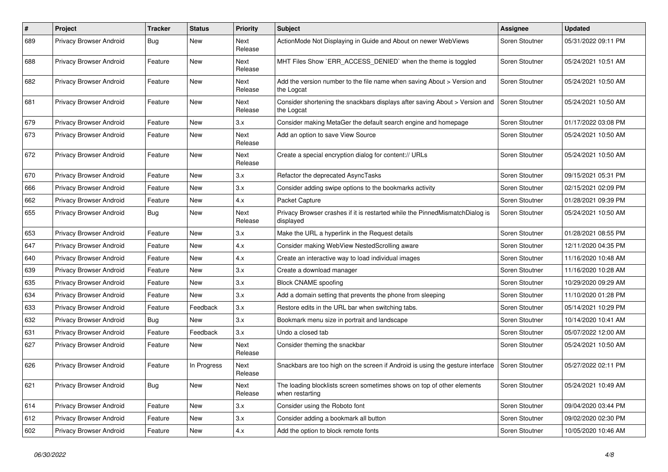| #   | Project                 | <b>Tracker</b> | <b>Status</b> | <b>Priority</b>        | Subject                                                                                   | Assignee       | <b>Updated</b>      |
|-----|-------------------------|----------------|---------------|------------------------|-------------------------------------------------------------------------------------------|----------------|---------------------|
| 689 | Privacy Browser Android | <b>Bug</b>     | New           | Next<br>Release        | ActionMode Not Displaying in Guide and About on newer WebViews                            | Soren Stoutner | 05/31/2022 09:11 PM |
| 688 | Privacy Browser Android | Feature        | New           | Next<br>Release        | MHT Files Show `ERR_ACCESS_DENIED` when the theme is toggled                              | Soren Stoutner | 05/24/2021 10:51 AM |
| 682 | Privacy Browser Android | Feature        | New           | <b>Next</b><br>Release | Add the version number to the file name when saving About > Version and<br>the Logcat     | Soren Stoutner | 05/24/2021 10:50 AM |
| 681 | Privacy Browser Android | Feature        | New           | <b>Next</b><br>Release | Consider shortening the snackbars displays after saving About > Version and<br>the Logcat | Soren Stoutner | 05/24/2021 10:50 AM |
| 679 | Privacy Browser Android | Feature        | New           | 3.x                    | Consider making MetaGer the default search engine and homepage                            | Soren Stoutner | 01/17/2022 03:08 PM |
| 673 | Privacy Browser Android | Feature        | New           | Next<br>Release        | Add an option to save View Source                                                         | Soren Stoutner | 05/24/2021 10:50 AM |
| 672 | Privacy Browser Android | Feature        | New           | Next<br>Release        | Create a special encryption dialog for content:// URLs                                    | Soren Stoutner | 05/24/2021 10:50 AM |
| 670 | Privacy Browser Android | Feature        | New           | 3.x                    | Refactor the deprecated AsyncTasks                                                        | Soren Stoutner | 09/15/2021 05:31 PM |
| 666 | Privacy Browser Android | Feature        | New           | 3.x                    | Consider adding swipe options to the bookmarks activity                                   | Soren Stoutner | 02/15/2021 02:09 PM |
| 662 | Privacy Browser Android | Feature        | New           | 4.x                    | Packet Capture                                                                            | Soren Stoutner | 01/28/2021 09:39 PM |
| 655 | Privacy Browser Android | <b>Bug</b>     | New           | <b>Next</b><br>Release | Privacy Browser crashes if it is restarted while the PinnedMismatchDialog is<br>displayed | Soren Stoutner | 05/24/2021 10:50 AM |
| 653 | Privacy Browser Android | Feature        | New           | 3.x                    | Make the URL a hyperlink in the Request details                                           | Soren Stoutner | 01/28/2021 08:55 PM |
| 647 | Privacy Browser Android | Feature        | New           | 4.x                    | Consider making WebView NestedScrolling aware                                             | Soren Stoutner | 12/11/2020 04:35 PM |
| 640 | Privacy Browser Android | Feature        | New           | 4.x                    | Create an interactive way to load individual images                                       | Soren Stoutner | 11/16/2020 10:48 AM |
| 639 | Privacy Browser Android | Feature        | New           | 3.x                    | Create a download manager                                                                 | Soren Stoutner | 11/16/2020 10:28 AM |
| 635 | Privacy Browser Android | Feature        | New           | 3.x                    | <b>Block CNAME spoofing</b>                                                               | Soren Stoutner | 10/29/2020 09:29 AM |
| 634 | Privacy Browser Android | Feature        | New           | 3.x                    | Add a domain setting that prevents the phone from sleeping                                | Soren Stoutner | 11/10/2020 01:28 PM |
| 633 | Privacy Browser Android | Feature        | Feedback      | 3.x                    | Restore edits in the URL bar when switching tabs.                                         | Soren Stoutner | 05/14/2021 10:29 PM |
| 632 | Privacy Browser Android | <b>Bug</b>     | New           | 3.x                    | Bookmark menu size in portrait and landscape                                              | Soren Stoutner | 10/14/2020 10:41 AM |
| 631 | Privacy Browser Android | Feature        | Feedback      | 3.x                    | Undo a closed tab                                                                         | Soren Stoutner | 05/07/2022 12:00 AM |
| 627 | Privacy Browser Android | Feature        | New           | Next<br>Release        | Consider theming the snackbar                                                             | Soren Stoutner | 05/24/2021 10:50 AM |
| 626 | Privacy Browser Android | Feature        | In Progress   | Next<br>Release        | Snackbars are too high on the screen if Android is using the gesture interface            | Soren Stoutner | 05/27/2022 02:11 PM |
| 621 | Privacy Browser Android | Bug            | New           | Next<br>Release        | The loading blocklists screen sometimes shows on top of other elements<br>when restarting | Soren Stoutner | 05/24/2021 10:49 AM |
| 614 | Privacy Browser Android | Feature        | New           | 3.x                    | Consider using the Roboto font                                                            | Soren Stoutner | 09/04/2020 03:44 PM |
| 612 | Privacy Browser Android | Feature        | New           | 3.x                    | Consider adding a bookmark all button                                                     | Soren Stoutner | 09/02/2020 02:30 PM |
| 602 | Privacy Browser Android | Feature        | New           | 4.x                    | Add the option to block remote fonts                                                      | Soren Stoutner | 10/05/2020 10:46 AM |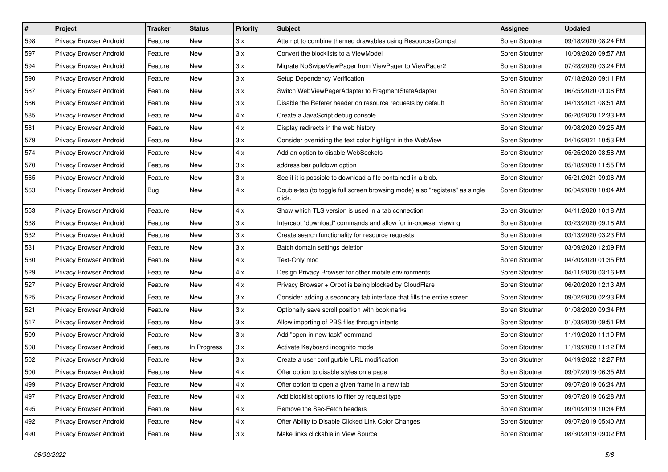| $\vert$ # | Project                        | <b>Tracker</b> | <b>Status</b> | <b>Priority</b> | Subject                                                                               | <b>Assignee</b> | <b>Updated</b>      |
|-----------|--------------------------------|----------------|---------------|-----------------|---------------------------------------------------------------------------------------|-----------------|---------------------|
| 598       | Privacy Browser Android        | Feature        | New           | 3.x             | Attempt to combine themed drawables using ResourcesCompat                             | Soren Stoutner  | 09/18/2020 08:24 PM |
| 597       | Privacy Browser Android        | Feature        | New           | 3.x             | Convert the blocklists to a ViewModel                                                 | Soren Stoutner  | 10/09/2020 09:57 AM |
| 594       | <b>Privacy Browser Android</b> | Feature        | New           | 3.x             | Migrate NoSwipeViewPager from ViewPager to ViewPager2                                 | Soren Stoutner  | 07/28/2020 03:24 PM |
| 590       | Privacy Browser Android        | Feature        | New           | 3.x             | Setup Dependency Verification                                                         | Soren Stoutner  | 07/18/2020 09:11 PM |
| 587       | Privacy Browser Android        | Feature        | New           | 3.x             | Switch WebViewPagerAdapter to FragmentStateAdapter                                    | Soren Stoutner  | 06/25/2020 01:06 PM |
| 586       | Privacy Browser Android        | Feature        | New           | 3.x             | Disable the Referer header on resource requests by default                            | Soren Stoutner  | 04/13/2021 08:51 AM |
| 585       | Privacy Browser Android        | Feature        | New           | 4.x             | Create a JavaScript debug console                                                     | Soren Stoutner  | 06/20/2020 12:33 PM |
| 581       | Privacy Browser Android        | Feature        | New           | 4.x             | Display redirects in the web history                                                  | Soren Stoutner  | 09/08/2020 09:25 AM |
| 579       | Privacy Browser Android        | Feature        | New           | 3.x             | Consider overriding the text color highlight in the WebView                           | Soren Stoutner  | 04/16/2021 10:53 PM |
| 574       | Privacy Browser Android        | Feature        | New           | 4.x             | Add an option to disable WebSockets                                                   | Soren Stoutner  | 05/25/2020 08:58 AM |
| 570       | Privacy Browser Android        | Feature        | New           | 3.x             | address bar pulldown option                                                           | Soren Stoutner  | 05/18/2020 11:55 PM |
| 565       | Privacy Browser Android        | Feature        | New           | 3.x             | See if it is possible to download a file contained in a blob.                         | Soren Stoutner  | 05/21/2021 09:06 AM |
| 563       | Privacy Browser Android        | <b>Bug</b>     | New           | 4.x             | Double-tap (to toggle full screen browsing mode) also "registers" as single<br>click. | Soren Stoutner  | 06/04/2020 10:04 AM |
| 553       | Privacy Browser Android        | Feature        | New           | 4.x             | Show which TLS version is used in a tab connection                                    | Soren Stoutner  | 04/11/2020 10:18 AM |
| 538       | Privacy Browser Android        | Feature        | New           | 3.x             | Intercept "download" commands and allow for in-browser viewing                        | Soren Stoutner  | 03/23/2020 09:18 AM |
| 532       | Privacy Browser Android        | Feature        | New           | 3.x             | Create search functionality for resource requests                                     | Soren Stoutner  | 03/13/2020 03:23 PM |
| 531       | Privacy Browser Android        | Feature        | New           | 3.x             | Batch domain settings deletion                                                        | Soren Stoutner  | 03/09/2020 12:09 PM |
| 530       | Privacy Browser Android        | Feature        | New           | 4.x             | Text-Only mod                                                                         | Soren Stoutner  | 04/20/2020 01:35 PM |
| 529       | Privacy Browser Android        | Feature        | New           | 4.x             | Design Privacy Browser for other mobile environments                                  | Soren Stoutner  | 04/11/2020 03:16 PM |
| 527       | Privacy Browser Android        | Feature        | New           | 4.x             | Privacy Browser + Orbot is being blocked by CloudFlare                                | Soren Stoutner  | 06/20/2020 12:13 AM |
| 525       | Privacy Browser Android        | Feature        | New           | 3.x             | Consider adding a secondary tab interface that fills the entire screen                | Soren Stoutner  | 09/02/2020 02:33 PM |
| 521       | Privacy Browser Android        | Feature        | New           | 3.x             | Optionally save scroll position with bookmarks                                        | Soren Stoutner  | 01/08/2020 09:34 PM |
| 517       | Privacy Browser Android        | Feature        | New           | 3.x             | Allow importing of PBS files through intents                                          | Soren Stoutner  | 01/03/2020 09:51 PM |
| 509       | Privacy Browser Android        | Feature        | New           | 3.x             | Add "open in new task" command                                                        | Soren Stoutner  | 11/19/2020 11:10 PM |
| 508       | Privacy Browser Android        | Feature        | In Progress   | 3.x             | Activate Keyboard incognito mode                                                      | Soren Stoutner  | 11/19/2020 11:12 PM |
| 502       | Privacy Browser Android        | Feature        | New           | 3.x             | Create a user configurble URL modification                                            | Soren Stoutner  | 04/19/2022 12:27 PM |
| 500       | Privacy Browser Android        | Feature        | New           | 4.x             | Offer option to disable styles on a page                                              | Soren Stoutner  | 09/07/2019 06:35 AM |
| 499       | Privacy Browser Android        | Feature        | New           | 4.x             | Offer option to open a given frame in a new tab                                       | Soren Stoutner  | 09/07/2019 06:34 AM |
| 497       | Privacy Browser Android        | Feature        | New           | 4.x             | Add blocklist options to filter by request type                                       | Soren Stoutner  | 09/07/2019 06:28 AM |
| 495       | Privacy Browser Android        | Feature        | New           | 4.x             | Remove the Sec-Fetch headers                                                          | Soren Stoutner  | 09/10/2019 10:34 PM |
| 492       | Privacy Browser Android        | Feature        | New           | 4.x             | Offer Ability to Disable Clicked Link Color Changes                                   | Soren Stoutner  | 09/07/2019 05:40 AM |
| 490       | Privacy Browser Android        | Feature        | New           | 3.x             | Make links clickable in View Source                                                   | Soren Stoutner  | 08/30/2019 09:02 PM |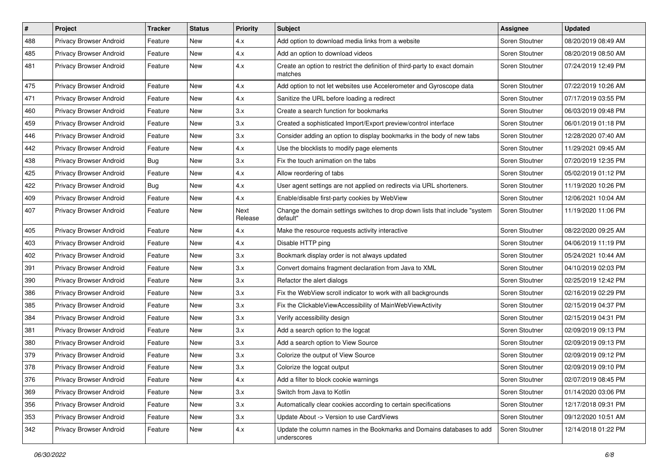| #   | Project                 | <b>Tracker</b> | <b>Status</b> | <b>Priority</b> | Subject                                                                                 | Assignee       | <b>Updated</b>      |
|-----|-------------------------|----------------|---------------|-----------------|-----------------------------------------------------------------------------------------|----------------|---------------------|
| 488 | Privacy Browser Android | Feature        | New           | 4.x             | Add option to download media links from a website                                       | Soren Stoutner | 08/20/2019 08:49 AM |
| 485 | Privacy Browser Android | Feature        | New           | 4.x             | Add an option to download videos                                                        | Soren Stoutner | 08/20/2019 08:50 AM |
| 481 | Privacy Browser Android | Feature        | New           | 4.x             | Create an option to restrict the definition of third-party to exact domain<br>matches   | Soren Stoutner | 07/24/2019 12:49 PM |
| 475 | Privacy Browser Android | Feature        | New           | 4.x             | Add option to not let websites use Accelerometer and Gyroscope data                     | Soren Stoutner | 07/22/2019 10:26 AM |
| 471 | Privacy Browser Android | Feature        | New           | 4.x             | Sanitize the URL before loading a redirect                                              | Soren Stoutner | 07/17/2019 03:55 PM |
| 460 | Privacy Browser Android | Feature        | New           | 3.x             | Create a search function for bookmarks                                                  | Soren Stoutner | 06/03/2019 09:48 PM |
| 459 | Privacy Browser Android | Feature        | New           | 3.x             | Created a sophisticated Import/Export preview/control interface                         | Soren Stoutner | 06/01/2019 01:18 PM |
| 446 | Privacy Browser Android | Feature        | New           | 3.x             | Consider adding an option to display bookmarks in the body of new tabs                  | Soren Stoutner | 12/28/2020 07:40 AM |
| 442 | Privacy Browser Android | Feature        | New           | 4.x             | Use the blocklists to modify page elements                                              | Soren Stoutner | 11/29/2021 09:45 AM |
| 438 | Privacy Browser Android | <b>Bug</b>     | New           | 3.x             | Fix the touch animation on the tabs                                                     | Soren Stoutner | 07/20/2019 12:35 PM |
| 425 | Privacy Browser Android | Feature        | New           | 4.x             | Allow reordering of tabs                                                                | Soren Stoutner | 05/02/2019 01:12 PM |
| 422 | Privacy Browser Android | <b>Bug</b>     | New           | 4.x             | User agent settings are not applied on redirects via URL shorteners.                    | Soren Stoutner | 11/19/2020 10:26 PM |
| 409 | Privacy Browser Android | Feature        | New           | 4.x             | Enable/disable first-party cookies by WebView                                           | Soren Stoutner | 12/06/2021 10:04 AM |
| 407 | Privacy Browser Android | Feature        | New           | Next<br>Release | Change the domain settings switches to drop down lists that include "system<br>default" | Soren Stoutner | 11/19/2020 11:06 PM |
| 405 | Privacy Browser Android | Feature        | New           | 4.x             | Make the resource requests activity interactive                                         | Soren Stoutner | 08/22/2020 09:25 AM |
| 403 | Privacy Browser Android | Feature        | New           | 4.x             | Disable HTTP ping                                                                       | Soren Stoutner | 04/06/2019 11:19 PM |
| 402 | Privacy Browser Android | Feature        | New           | 3.x             | Bookmark display order is not always updated                                            | Soren Stoutner | 05/24/2021 10:44 AM |
| 391 | Privacy Browser Android | Feature        | New           | 3.x             | Convert domains fragment declaration from Java to XML                                   | Soren Stoutner | 04/10/2019 02:03 PM |
| 390 | Privacy Browser Android | Feature        | New           | 3.x             | Refactor the alert dialogs                                                              | Soren Stoutner | 02/25/2019 12:42 PM |
| 386 | Privacy Browser Android | Feature        | New           | 3.x             | Fix the WebView scroll indicator to work with all backgrounds                           | Soren Stoutner | 02/16/2019 02:29 PM |
| 385 | Privacy Browser Android | Feature        | New           | 3.x             | Fix the ClickableViewAccessibility of MainWebViewActivity                               | Soren Stoutner | 02/15/2019 04:37 PM |
| 384 | Privacy Browser Android | Feature        | New           | 3.x             | Verify accessibility design                                                             | Soren Stoutner | 02/15/2019 04:31 PM |
| 381 | Privacy Browser Android | Feature        | New           | 3.x             | Add a search option to the logcat                                                       | Soren Stoutner | 02/09/2019 09:13 PM |
| 380 | Privacy Browser Android | Feature        | <b>New</b>    | 3.x             | Add a search option to View Source                                                      | Soren Stoutner | 02/09/2019 09:13 PM |
| 379 | Privacy Browser Android | Feature        | New           | 3.x             | Colorize the output of View Source                                                      | Soren Stoutner | 02/09/2019 09:12 PM |
| 378 | Privacy Browser Android | Feature        | New           | 3.x             | Colorize the logcat output                                                              | Soren Stoutner | 02/09/2019 09:10 PM |
| 376 | Privacy Browser Android | Feature        | New           | 4.x             | Add a filter to block cookie warnings                                                   | Soren Stoutner | 02/07/2019 08:45 PM |
| 369 | Privacy Browser Android | Feature        | New           | 3.x             | Switch from Java to Kotlin                                                              | Soren Stoutner | 01/14/2020 03:06 PM |
| 356 | Privacy Browser Android | Feature        | New           | 3.x             | Automatically clear cookies according to certain specifications                         | Soren Stoutner | 12/17/2018 09:31 PM |
| 353 | Privacy Browser Android | Feature        | New           | 3.x             | Update About -> Version to use CardViews                                                | Soren Stoutner | 09/12/2020 10:51 AM |
| 342 | Privacy Browser Android | Feature        | New           | 4.x             | Update the column names in the Bookmarks and Domains databases to add<br>underscores    | Soren Stoutner | 12/14/2018 01:22 PM |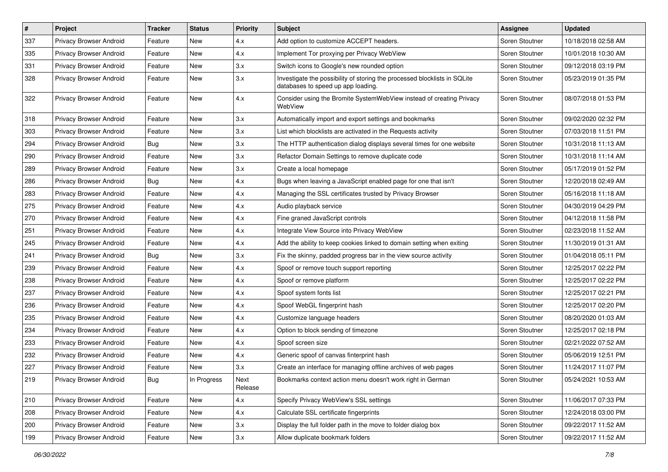| #   | Project                        | <b>Tracker</b> | <b>Status</b> | <b>Priority</b> | Subject                                                                                                         | Assignee       | <b>Updated</b>      |
|-----|--------------------------------|----------------|---------------|-----------------|-----------------------------------------------------------------------------------------------------------------|----------------|---------------------|
| 337 | Privacy Browser Android        | Feature        | New           | 4.x             | Add option to customize ACCEPT headers.                                                                         | Soren Stoutner | 10/18/2018 02:58 AM |
| 335 | Privacy Browser Android        | Feature        | New           | 4.x             | Implement Tor proxying per Privacy WebView                                                                      | Soren Stoutner | 10/01/2018 10:30 AM |
| 331 | Privacy Browser Android        | Feature        | New           | 3.x             | Switch icons to Google's new rounded option                                                                     | Soren Stoutner | 09/12/2018 03:19 PM |
| 328 | Privacy Browser Android        | Feature        | New           | 3.x             | Investigate the possibility of storing the processed blocklists in SQLite<br>databases to speed up app loading. | Soren Stoutner | 05/23/2019 01:35 PM |
| 322 | <b>Privacy Browser Android</b> | Feature        | New           | 4.x             | Consider using the Bromite SystemWebView instead of creating Privacy<br>WebView                                 | Soren Stoutner | 08/07/2018 01:53 PM |
| 318 | Privacy Browser Android        | Feature        | <b>New</b>    | 3.x             | Automatically import and export settings and bookmarks                                                          | Soren Stoutner | 09/02/2020 02:32 PM |
| 303 | Privacy Browser Android        | Feature        | New           | 3.x             | List which blocklists are activated in the Requests activity                                                    | Soren Stoutner | 07/03/2018 11:51 PM |
| 294 | Privacy Browser Android        | Bug            | New           | 3.x             | The HTTP authentication dialog displays several times for one website                                           | Soren Stoutner | 10/31/2018 11:13 AM |
| 290 | Privacy Browser Android        | Feature        | <b>New</b>    | 3.x             | Refactor Domain Settings to remove duplicate code                                                               | Soren Stoutner | 10/31/2018 11:14 AM |
| 289 | Privacy Browser Android        | Feature        | New           | 3.x             | Create a local homepage                                                                                         | Soren Stoutner | 05/17/2019 01:52 PM |
| 286 | Privacy Browser Android        | <b>Bug</b>     | <b>New</b>    | 4.x             | Bugs when leaving a JavaScript enabled page for one that isn't                                                  | Soren Stoutner | 12/20/2018 02:49 AM |
| 283 | Privacy Browser Android        | Feature        | New           | 4.x             | Managing the SSL certificates trusted by Privacy Browser                                                        | Soren Stoutner | 05/16/2018 11:18 AM |
| 275 | Privacy Browser Android        | Feature        | New           | 4.x             | Audio playback service                                                                                          | Soren Stoutner | 04/30/2019 04:29 PM |
| 270 | Privacy Browser Android        | Feature        | New           | 4.x             | Fine graned JavaScript controls                                                                                 | Soren Stoutner | 04/12/2018 11:58 PM |
| 251 | Privacy Browser Android        | Feature        | New           | 4.x             | Integrate View Source into Privacy WebView                                                                      | Soren Stoutner | 02/23/2018 11:52 AM |
| 245 | Privacy Browser Android        | Feature        | <b>New</b>    | 4.x             | Add the ability to keep cookies linked to domain setting when exiting                                           | Soren Stoutner | 11/30/2019 01:31 AM |
| 241 | Privacy Browser Android        | Bug            | New           | 3.x             | Fix the skinny, padded progress bar in the view source activity                                                 | Soren Stoutner | 01/04/2018 05:11 PM |
| 239 | Privacy Browser Android        | Feature        | New           | 4.x             | Spoof or remove touch support reporting                                                                         | Soren Stoutner | 12/25/2017 02:22 PM |
| 238 | Privacy Browser Android        | Feature        | New           | 4.x             | Spoof or remove platform                                                                                        | Soren Stoutner | 12/25/2017 02:22 PM |
| 237 | Privacy Browser Android        | Feature        | New           | 4.x             | Spoof system fonts list                                                                                         | Soren Stoutner | 12/25/2017 02:21 PM |
| 236 | Privacy Browser Android        | Feature        | New           | 4.x             | Spoof WebGL fingerprint hash                                                                                    | Soren Stoutner | 12/25/2017 02:20 PM |
| 235 | Privacy Browser Android        | Feature        | New           | 4.x             | Customize language headers                                                                                      | Soren Stoutner | 08/20/2020 01:03 AM |
| 234 | Privacy Browser Android        | Feature        | New           | 4.x             | Option to block sending of timezone                                                                             | Soren Stoutner | 12/25/2017 02:18 PM |
| 233 | Privacy Browser Android        | Feature        | New           | 4.x             | Spoof screen size                                                                                               | Soren Stoutner | 02/21/2022 07:52 AM |
| 232 | Privacy Browser Android        | Feature        | New           | 4.x             | Generic spoof of canvas finterprint hash                                                                        | Soren Stoutner | 05/06/2019 12:51 PM |
| 227 | Privacy Browser Android        | Feature        | New           | 3.x             | Create an interface for managing offline archives of web pages                                                  | Soren Stoutner | 11/24/2017 11:07 PM |
| 219 | Privacy Browser Android        | <b>Bug</b>     | In Progress   | Next<br>Release | Bookmarks context action menu doesn't work right in German                                                      | Soren Stoutner | 05/24/2021 10:53 AM |
| 210 | Privacy Browser Android        | Feature        | New           | 4.x             | Specify Privacy WebView's SSL settings                                                                          | Soren Stoutner | 11/06/2017 07:33 PM |
| 208 | Privacy Browser Android        | Feature        | New           | 4.x             | Calculate SSL certificate fingerprints                                                                          | Soren Stoutner | 12/24/2018 03:00 PM |
| 200 | Privacy Browser Android        | Feature        | New           | 3.x             | Display the full folder path in the move to folder dialog box                                                   | Soren Stoutner | 09/22/2017 11:52 AM |
| 199 | Privacy Browser Android        | Feature        | New           | 3.x             | Allow duplicate bookmark folders                                                                                | Soren Stoutner | 09/22/2017 11:52 AM |